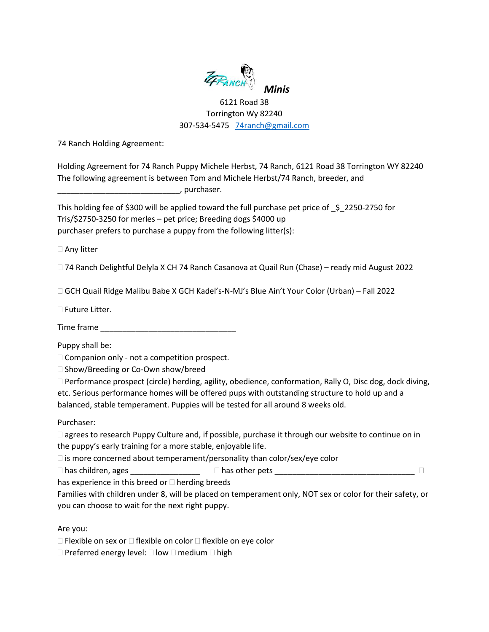

## 6121 Road 38 Torrington Wy 82240 307-534-5475 [74ranch@gmail.com](mailto:74ranch@gmail.com)

74 Ranch Holding Agreement:

Holding Agreement for 74 Ranch Puppy Michele Herbst, 74 Ranch, 6121 Road 38 Torrington WY 82240 The following agreement is between Tom and Michele Herbst/74 Ranch, breeder, and

\_\_\_\_\_\_\_\_\_\_\_\_\_\_\_\_\_\_\_\_\_\_\_\_\_\_\_\_, purchaser.

This holding fee of \$300 will be applied toward the full purchase pet price of  $\;$  \$ 2250-2750 for Tris/\$2750-3250 for merles – pet price; Breeding dogs \$4000 up purchaser prefers to purchase a puppy from the following litter(s):

□ Any litter

74 Ranch Delightful Delyla X CH 74 Ranch Casanova at Quail Run (Chase) – ready mid August 2022

GCH Quail Ridge Malibu Babe X GCH Kadel's-N-MJ's Blue Ain't Your Color (Urban) – Fall 2022

□ Future Litter.

Time frame \_\_\_\_\_\_\_\_\_\_\_\_\_\_\_\_\_\_\_\_\_\_\_\_\_\_\_\_\_\_\_

Puppy shall be:

 $\Box$  Companion only - not a competition prospect.

□ Show/Breeding or Co-Own show/breed

 Performance prospect (circle) herding, agility, obedience, conformation, Rally O, Disc dog, dock diving, etc. Serious performance homes will be offered pups with outstanding structure to hold up and a balanced, stable temperament. Puppies will be tested for all around 8 weeks old.

## Purchaser:

□ agrees to research Puppy Culture and, if possible, purchase it through our website to continue on in the puppy's early training for a more stable, enjoyable life.

 $\Box$  is more concerned about temperament/personality than color/sex/eye color

has children, ages \_\_\_\_\_\_\_\_\_\_\_\_\_\_\_\_ has other pets \_\_\_\_\_\_\_\_\_\_\_\_\_\_\_\_\_\_\_\_\_\_\_\_\_\_\_\_\_\_\_\_

has experience in this breed or  $\Box$  herding breeds

Families with children under 8, will be placed on temperament only, NOT sex or color for their safety, or you can choose to wait for the next right puppy.

Are you:

 $\Box$  Flexible on sex or  $\Box$  flexible on color  $\Box$  flexible on eye color

 $\Box$  Preferred energy level:  $\Box$  low  $\Box$  medium  $\Box$  high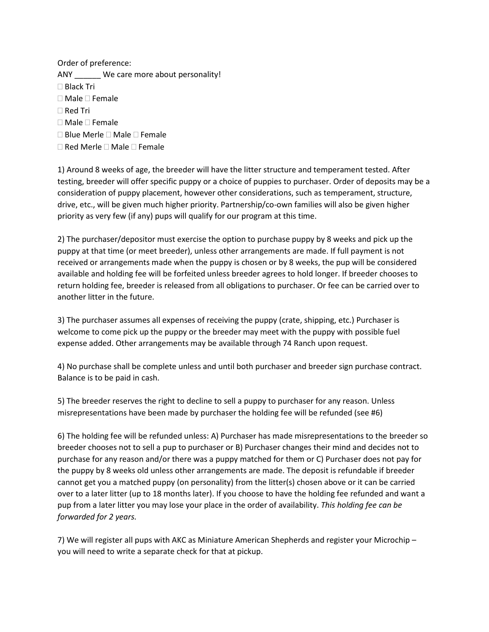Order of preference: ANY We care more about personality! Black Tri  $\Box$  Male  $\Box$  Female □ Red Tri  $\square$  Male  $\square$  Female  $\square$  Blue Merle  $\square$  Male  $\square$  Female  $\Box$  Red Merle  $\Box$  Male  $\Box$  Female

1) Around 8 weeks of age, the breeder will have the litter structure and temperament tested. After testing, breeder will offer specific puppy or a choice of puppies to purchaser. Order of deposits may be a consideration of puppy placement, however other considerations, such as temperament, structure, drive, etc., will be given much higher priority. Partnership/co-own families will also be given higher priority as very few (if any) pups will qualify for our program at this time.

2) The purchaser/depositor must exercise the option to purchase puppy by 8 weeks and pick up the puppy at that time (or meet breeder), unless other arrangements are made. If full payment is not received or arrangements made when the puppy is chosen or by 8 weeks, the pup will be considered available and holding fee will be forfeited unless breeder agrees to hold longer. If breeder chooses to return holding fee, breeder is released from all obligations to purchaser. Or fee can be carried over to another litter in the future.

3) The purchaser assumes all expenses of receiving the puppy (crate, shipping, etc.) Purchaser is welcome to come pick up the puppy or the breeder may meet with the puppy with possible fuel expense added. Other arrangements may be available through 74 Ranch upon request.

4) No purchase shall be complete unless and until both purchaser and breeder sign purchase contract. Balance is to be paid in cash.

5) The breeder reserves the right to decline to sell a puppy to purchaser for any reason. Unless misrepresentations have been made by purchaser the holding fee will be refunded (see #6)

6) The holding fee will be refunded unless: A) Purchaser has made misrepresentations to the breeder so breeder chooses not to sell a pup to purchaser or B) Purchaser changes their mind and decides not to purchase for any reason and/or there was a puppy matched for them or C) Purchaser does not pay for the puppy by 8 weeks old unless other arrangements are made. The deposit is refundable if breeder cannot get you a matched puppy (on personality) from the litter(s) chosen above or it can be carried over to a later litter (up to 18 months later). If you choose to have the holding fee refunded and want a pup from a later litter you may lose your place in the order of availability. *This holding fee can be forwarded for 2 years.*

7) We will register all pups with AKC as Miniature American Shepherds and register your Microchip – you will need to write a separate check for that at pickup.